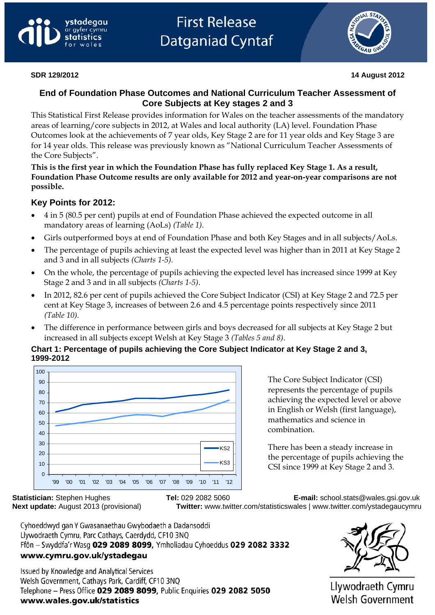



## **End of Foundation Phase Outcomes and National Curriculum Teacher Assessment of Core Subjects at Key stages 2 and 3**

This Statistical First Release provides information for Wales on the teacher assessments of the mandatory areas of learning/core subjects in 2012, at Wales and local authority (LA) level. Foundation Phase Outcomes look at the achievements of 7 year olds, Key Stage 2 are for 11 year olds and Key Stage 3 are for 14 year olds. This release was previously known as "National Curriculum Teacher Assessments of the Core Subjects".

**This is the first year in which the Foundation Phase has fully replaced Key Stage 1. As a result, Foundation Phase Outcome results are only available for 2012 and year-on-year comparisons are not possible.** 

# **Key Points for 2012:**

- 4 in 5 (80.5 per cent) pupils at end of Foundation Phase achieved the expected outcome in all mandatory areas of learning (AoLs) *(Table 1)*.
- Girls outperformed boys at end of Foundation Phase and both Key Stages and in all subjects/AoLs.
- The percentage of pupils achieving at least the expected level was higher than in 2011 at Key Stage 2 and 3 and in all subjects *(Charts 1-5).*
- On the whole, the percentage of pupils achieving the expected level has increased since 1999 at Key Stage 2 and 3 and in all subjects *(Charts 1-5)*.
- In 2012, 82.6 per cent of pupils achieved the Core Subject Indicator (CSI) at Key Stage 2 and 72.5 per cent at Key Stage 3, increases of between 2.6 and 4.5 percentage points respectively since 2011 *(Table 10)*.
- The difference in performance between girls and boys decreased for all subjects at Key Stage 2 but increased in all subjects except Welsh at Key Stage 3 *(Tables 5 and 8)*.

## **Chart 1: Percentage of pupils achieving the Core Subject Indicator at Key Stage 2 and 3, 1999-2012**



The Core Subject Indicator (CSI) represents the percentage of pupils achieving the expected level or above in English or Welsh (first language), mathematics and science in combination.

There has been a steady increase in the percentage of pupils achieving the CSI since 1999 at Key Stage 2 and 3.

**Statistician:** Stephen Hughes **Tel:** 029 2082 5060 **E-mail:** [school.stats@wales.gsi.gov.uk](mailto:school.stats@wales.gsi.gov.uk)  **Next update:** August 2013 (provisional) **Twitter:** www.twitter.com/statisticswales | www.twitter.com/ystadegaucymru

Cyhoeddwyd gan Y Gwasanaethau Gwybodaeth a Dadansoddi Llywodraeth Cymru, Parc Cathays, Caerdydd, CF10 3NQ Ffôn - Swyddfa'r Wasg 029 2089 8099, Ymholiadau Cyhoeddus 029 2082 3332 www.cymru.gov.uk/ystadegau

Issued by Knowledge and Analytical Services Welsh Government, Cathays Park, Cardiff, CF10 3NQ Telephone - Press Office 029 2089 8099, Public Enquiries 029 2082 5050 www.wales.gov.uk/statistics



Llywodraeth Cymru<br>Welsh Government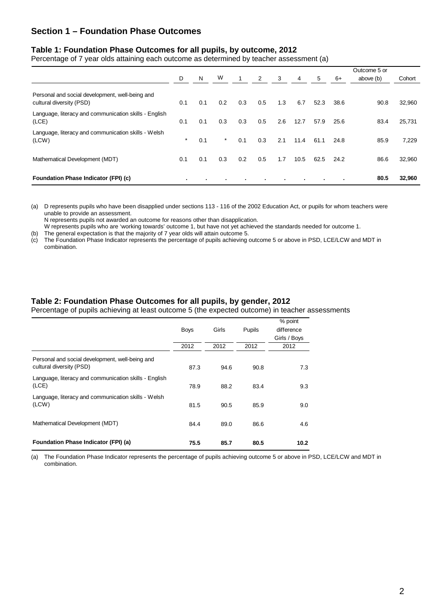## **Section 1 – Foundation Phase Outcomes**

#### **Table 1: Foundation Phase Outcomes for all pupils, by outcome, 2012**

Percentage of 7 year olds attaining each outcome as determined by teacher assessment (a)

|                                                                             |         |     |         |              |     |     |      |                |      | Outcome 5 or |        |
|-----------------------------------------------------------------------------|---------|-----|---------|--------------|-----|-----|------|----------------|------|--------------|--------|
|                                                                             | D       | N   | W       | $\mathbf{1}$ | 2   | 3   | 4    | 5              | 6+   | above (b)    | Cohort |
| Personal and social development, well-being and<br>cultural diversity (PSD) | 0.1     | 0.1 | 0.2     | 0.3          | 0.5 | 1.3 | 6.7  | 52.3           | 38.6 | 90.8         | 32,960 |
| Language, literacy and communication skills - English<br>(LCE)              | 0.1     | 0.1 | 0.3     | 0.3          | 0.5 | 2.6 | 12.7 | 57.9           | 25.6 | 83.4         | 25,731 |
| Language, literacy and communication skills - Welsh<br>(LCW)                | $\star$ | 0.1 | $\star$ | 0.1          | 0.3 | 2.1 | 11.4 | 61.1           | 24.8 | 85.9         | 7,229  |
| Mathematical Development (MDT)                                              | 0.1     | 0.1 | 0.3     | 0.2          | 0.5 | 1.7 | 10.5 | 62.5           | 24.2 | 86.6         | 32,960 |
| <b>Foundation Phase Indicator (FPI) (c)</b>                                 | ٠       |     |         |              |     |     |      | $\blacksquare$ |      | 80.5         | 32,960 |

(a) D represents pupils who have been disapplied under sections 113 - 116 of the 2002 Education Act, or pupils for whom teachers were unable to provide an assessment.

N represents pupils not awarded an outcome for reasons other than disapplication.

W represents pupils who are 'working towards' outcome 1, but have not yet achieved the standards needed for outcome 1.

(b) The general expectation is that the majority of 7 year olds will attain outcome 5.

(c) The Foundation Phase Indicator represents the percentage of pupils achieving outcome 5 or above in PSD, LCE/LCW and MDT in combination.

#### **Table 2: Foundation Phase Outcomes for all pupils, by gender, 2012**

Percentage of pupils achieving at least outcome 5 (the expected outcome) in teacher assessments

|                                                                             | <b>Boys</b> | Girls | Pupils | % point<br>difference<br>Girls / Boys |
|-----------------------------------------------------------------------------|-------------|-------|--------|---------------------------------------|
|                                                                             | 2012        | 2012  | 2012   | 2012                                  |
| Personal and social development, well-being and<br>cultural diversity (PSD) | 87.3        | 94.6  | 90.8   | 7.3                                   |
| Language, literacy and communication skills - English<br>(LCE)              | 78.9        | 88.2  | 83.4   | 9.3                                   |
| Language, literacy and communication skills - Welsh<br>(LCW)                | 81.5        | 90.5  | 85.9   | 9.0                                   |
| Mathematical Development (MDT)                                              | 84.4        | 89.0  | 86.6   | 4.6                                   |
| Foundation Phase Indicator (FPI) (a)                                        | 75.5        | 85.7  | 80.5   | 10.2                                  |

(a) The Foundation Phase Indicator represents the percentage of pupils achieving outcome 5 or above in PSD, LCE/LCW and MDT in combination.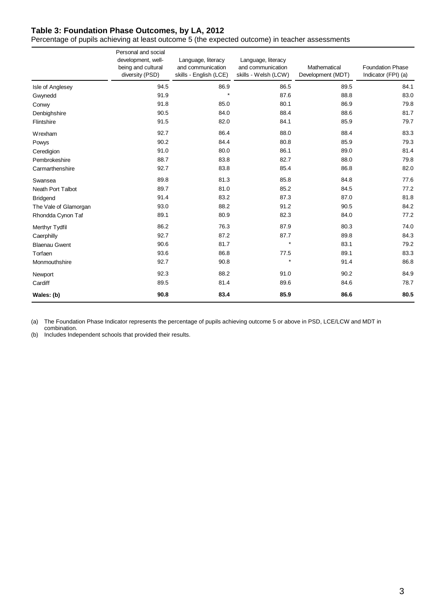# **Table 3: Foundation Phase Outcomes, by LA, 2012**

Percentage of pupils achieving at least outcome 5 (the expected outcome) in teacher assessments

|                          | Personal and social<br>development, well-<br>being and cultural<br>diversity (PSD) | Language, literacy<br>and communication<br>skills - English (LCE) | Language, literacy<br>and communication<br>skills - Welsh (LCW) | Mathematical<br>Development (MDT) | <b>Foundation Phase</b><br>Indicator (FPI) (a) |
|--------------------------|------------------------------------------------------------------------------------|-------------------------------------------------------------------|-----------------------------------------------------------------|-----------------------------------|------------------------------------------------|
| Isle of Anglesey         | 94.5                                                                               | 86.9                                                              | 86.5                                                            | 89.5                              | 84.1                                           |
| Gwynedd                  | 91.9                                                                               | $\star$                                                           | 87.6                                                            | 88.8                              | 83.0                                           |
| Conwy                    | 91.8                                                                               | 85.0                                                              | 80.1                                                            | 86.9                              | 79.8                                           |
| Denbighshire             | 90.5                                                                               | 84.0                                                              | 88.4                                                            | 88.6                              | 81.7                                           |
| Flintshire               | 91.5                                                                               | 82.0                                                              | 84.1                                                            | 85.9                              | 79.7                                           |
| Wrexham                  | 92.7                                                                               | 86.4                                                              | 88.0                                                            | 88.4                              | 83.3                                           |
| Powys                    | 90.2                                                                               | 84.4                                                              | 80.8                                                            | 85.9                              | 79.3                                           |
| Ceredigion               | 91.0                                                                               | 80.0                                                              | 86.1                                                            | 89.0                              | 81.4                                           |
| Pembrokeshire            | 88.7                                                                               | 83.8                                                              | 82.7                                                            | 88.0                              | 79.8                                           |
| Carmarthenshire          | 92.7                                                                               | 83.8                                                              | 85.4                                                            | 86.8                              | 82.0                                           |
| Swansea                  | 89.8                                                                               | 81.3                                                              | 85.8                                                            | 84.8                              | 77.6                                           |
| <b>Neath Port Talbot</b> | 89.7                                                                               | 81.0                                                              | 85.2                                                            | 84.5                              | 77.2                                           |
| <b>Bridgend</b>          | 91.4                                                                               | 83.2                                                              | 87.3                                                            | 87.0                              | 81.8                                           |
| The Vale of Glamorgan    | 93.0                                                                               | 88.2                                                              | 91.2                                                            | 90.5                              | 84.2                                           |
| Rhondda Cynon Taf        | 89.1                                                                               | 80.9                                                              | 82.3                                                            | 84.0                              | 77.2                                           |
| Merthyr Tydfil           | 86.2                                                                               | 76.3                                                              | 87.9                                                            | 80.3                              | 74.0                                           |
| Caerphilly               | 92.7                                                                               | 87.2                                                              | 87.7                                                            | 89.8                              | 84.3                                           |
| <b>Blaenau Gwent</b>     | 90.6                                                                               | 81.7                                                              | $\star$                                                         | 83.1                              | 79.2                                           |
| Torfaen                  | 93.6                                                                               | 86.8                                                              | 77.5                                                            | 89.1                              | 83.3                                           |
| Monmouthshire            | 92.7                                                                               | 90.8                                                              | $\star$                                                         | 91.4                              | 86.8                                           |
| Newport                  | 92.3                                                                               | 88.2                                                              | 91.0                                                            | 90.2                              | 84.9                                           |
| Cardiff                  | 89.5                                                                               | 81.4                                                              | 89.6                                                            | 84.6                              | 78.7                                           |
| Wales: (b)               | 90.8                                                                               | 83.4                                                              | 85.9                                                            | 86.6                              | 80.5                                           |

(a) The Foundation Phase Indicator represents the percentage of pupils achieving outcome 5 or above in PSD, LCE/LCW and MDT in combination.

(b) Includes Independent schools that provided their results.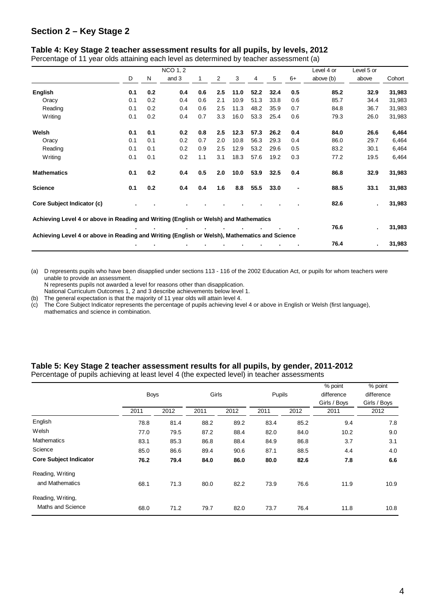## **Section 2 – Key Stage 2**

#### **Table 4: Key Stage 2 teacher assessment results for all pupils, by levels, 2012**

Percentage of 11 year olds attaining each level as determined by teacher assessment (a)

|                                                                                               |     |     | <b>NCO 1, 2</b> |     |     |      |      |      |      | Level 4 or | Level 5 or |        |
|-----------------------------------------------------------------------------------------------|-----|-----|-----------------|-----|-----|------|------|------|------|------------|------------|--------|
|                                                                                               | D   | N   | and 3           |     | 2   | 3    | 4    | 5    | $6+$ | above (b)  | above      | Cohort |
| English                                                                                       | 0.1 | 0.2 | 0.4             | 0.6 | 2.5 | 11.0 | 52.2 | 32.4 | 0.5  | 85.2       | 32.9       | 31,983 |
| Oracy                                                                                         | 0.1 | 0.2 | 0.4             | 0.6 | 2.1 | 10.9 | 51.3 | 33.8 | 0.6  | 85.7       | 34.4       | 31,983 |
| Reading                                                                                       | 0.1 | 0.2 | 0.4             | 0.6 | 2.5 | 11.3 | 48.2 | 35.9 | 0.7  | 84.8       | 36.7       | 31,983 |
| Writing                                                                                       | 0.1 | 0.2 | 0.4             | 0.7 | 3.3 | 16.0 | 53.3 | 25.4 | 0.6  | 79.3       | 26.0       | 31,983 |
| Welsh                                                                                         | 0.1 | 0.1 | 0.2             | 0.8 | 2.5 | 12.3 | 57.3 | 26.2 | 0.4  | 84.0       | 26.6       | 6,464  |
| Oracy                                                                                         | 0.1 | 0.1 | 0.2             | 0.7 | 2.0 | 10.8 | 56.3 | 29.3 | 0.4  | 86.0       | 29.7       | 6,464  |
| Reading                                                                                       | 0.1 | 0.1 | 0.2             | 0.9 | 2.5 | 12.9 | 53.2 | 29.6 | 0.5  | 83.2       | 30.1       | 6,464  |
| Writing                                                                                       | 0.1 | 0.1 | 0.2             | 1.1 | 3.1 | 18.3 | 57.6 | 19.2 | 0.3  | 77.2       | 19.5       | 6,464  |
| <b>Mathematics</b>                                                                            | 0.1 | 0.2 | 0.4             | 0.5 | 2.0 | 10.0 | 53.9 | 32.5 | 0.4  | 86.8       | 32.9       | 31,983 |
| <b>Science</b>                                                                                | 0.1 | 0.2 | 0.4             | 0.4 | 1.6 | 8.8  | 55.5 | 33.0 |      | 88.5       | 33.1       | 31,983 |
| Core Subject Indicator (c)                                                                    |     |     |                 |     |     |      |      |      |      | 82.6       | ä,         | 31,983 |
| Achieving Level 4 or above in Reading and Writing (English or Welsh) and Mathematics          |     |     |                 |     |     |      |      |      |      |            |            |        |
|                                                                                               |     |     |                 |     |     |      |      |      |      | 76.6       | ä,         | 31,983 |
| Achieving Level 4 or above in Reading and Writing (English or Welsh), Mathematics and Science |     |     |                 |     |     |      |      |      |      |            |            |        |
|                                                                                               |     |     |                 |     |     |      |      |      |      | 76.4       | ٠          | 31,983 |

(a) D represents pupils who have been disapplied under sections 113 - 116 of the 2002 Education Act, or pupils for whom teachers were unable to provide an assessment.

N represents pupils not awarded a level for reasons other than disapplication.

National Curriculum Outcomes 1, 2 and 3 describe achievements below level 1.

- (b) The general expectation is that the majority of 11 year olds will attain level 4.
- (c) The Core Subject Indicator represents the percentage of pupils achieving level 4 or above in English or Welsh (first language), mathematics and science in combination.

|                               | <b>Boys</b> |      | Girls |      | Pupils |      | % point<br>difference<br>Girls / Boys | % point<br>difference<br>Girls / Boys |  |
|-------------------------------|-------------|------|-------|------|--------|------|---------------------------------------|---------------------------------------|--|
|                               | 2011        | 2012 | 2011  | 2012 | 2011   | 2012 | 2011                                  | 2012                                  |  |
| English                       | 78.8        | 81.4 | 88.2  | 89.2 | 83.4   | 85.2 | 9.4                                   | 7.8                                   |  |
| Welsh                         | 77.0        | 79.5 | 87.2  | 88.4 | 82.0   | 84.0 | 10.2                                  | 9.0                                   |  |
| <b>Mathematics</b>            | 83.1        | 85.3 | 86.8  | 88.4 | 84.9   | 86.8 | 3.7                                   | 3.1                                   |  |
| Science                       | 85.0        | 86.6 | 89.4  | 90.6 | 87.1   | 88.5 | 4.4                                   | 4.0                                   |  |
| <b>Core Subject Indicator</b> | 76.2        | 79.4 | 84.0  | 86.0 | 80.0   | 82.6 | 7.8                                   | 6.6                                   |  |
| Reading, Writing              |             |      |       |      |        |      |                                       |                                       |  |
| and Mathematics               | 68.1        | 71.3 | 80.0  | 82.2 | 73.9   | 76.6 | 11.9                                  | 10.9                                  |  |
| Reading, Writing,             |             |      |       |      |        |      |                                       |                                       |  |
| Maths and Science             | 68.0        | 71.2 | 79.7  | 82.0 | 73.7   | 76.4 | 11.8                                  | 10.8                                  |  |

#### **Table 5: Key Stage 2 teacher assessment results for all pupils, by gender, 2011-2012**  Percentage of pupils achieving at least level 4 (the expected level) in teacher assessments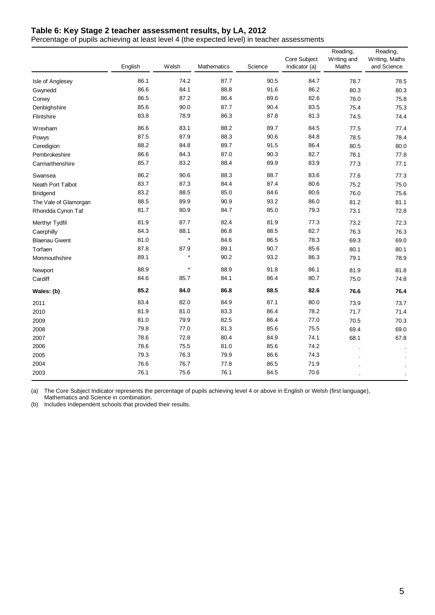## **Table 6: Key Stage 2 teacher assessment results, by LA, 2012**

Percentage of pupils achieving at least level 4 (the expected level) in teacher assessments

|                       | English | Welsh   | Mathematics | Science | Core Subject<br>Indicator (a) | Reading,<br>Writing and<br>Maths | Reading,<br>Writing, Maths<br>and Science |
|-----------------------|---------|---------|-------------|---------|-------------------------------|----------------------------------|-------------------------------------------|
| Isle of Anglesey      | 86.1    | 74.2    | 87.7        | 90.5    | 84.7                          | 78.7                             | 78.5                                      |
| Gwynedd               | 86.6    | 84.1    | 88.8        | 91.6    | 86.2                          | 80.3                             | 80.3                                      |
| Conwy                 | 86.5    | 87.2    | 86.4        | 89.6    | 82.6                          | 76.0                             | 75.8                                      |
| Denbighshire          | 85.6    | 90.0    | 87.7        | 90.4    | 83.5                          | 75.4                             | 75.3                                      |
| Flintshire            | 83.8    | 78.9    | 86.3        | 87.8    | 81.3                          | 74.5                             | 74.4                                      |
| Wrexham               | 86.6    | 83.1    | 88.2        | 89.7    | 84.5                          | 77.5                             | 77.4                                      |
| Powys                 | 87.5    | 87.9    | 88.3        | 90.6    | 84.8                          | 78.5                             | 78.4                                      |
| Ceredigion            | 88.2    | 84.8    | 89.7        | 91.5    | 86.4                          | 80.5                             | 80.0                                      |
| Pembrokeshire         | 86.6    | 84.3    | 87.0        | 90.3    | 82.7                          | 78.1                             | 77.8                                      |
| Carmarthenshire       | 85.7    | 83.2    | 88.4        | 89.9    | 83.9                          | 77.3                             | 77.1                                      |
| Swansea               | 86.2    | 90.6    | 88.3        | 88.7    | 83.6                          | 77.6                             | 77.3                                      |
| Neath Port Talbot     | 83.7    | 87.3    | 84.4        | 87.4    | 80.6                          | 75.2                             | 75.0                                      |
| <b>Bridgend</b>       | 83.2    | 88.5    | 85.0        | 84.6    | 80.6                          | 76.0                             | 75.6                                      |
| The Vale of Glamorgan | 88.5    | 89.9    | 90.9        | 93.2    | 86.0                          | 81.2                             | 81.1                                      |
| Rhondda Cynon Taf     | 81.7    | 80.9    | 84.7        | 85.0    | 79.3                          | 73.1                             | 72.8                                      |
| Merthyr Tydfil        | 81.9    | 87.7    | 82.4        | 81.9    | 77.3                          | 73.2                             | 72.3                                      |
| Caerphilly            | 84.3    | 88.1    | 86.8        | 88.5    | 82.7                          | 76.3                             | 76.3                                      |
| <b>Blaenau Gwent</b>  | 81.0    | $\star$ | 84.6        | 86.5    | 78.3                          | 69.3                             | 69.0                                      |
| Torfaen               | 87.8    | 87.9    | 89.1        | 90.7    | 85.6                          | 80.1                             | 80.1                                      |
| Monmouthshire         | 89.1    | $\star$ | 90.2        | 93.2    | 86.3                          | 79.1                             | 78.9                                      |
| Newport               | 88.9    | $\star$ | 88.9        | 91.8    | 86.1                          | 81.9                             | 81.8                                      |
| Cardiff               | 84.6    | 85.7    | 84.1        | 86.4    | 80.7                          | 75.0                             | 74.8                                      |
| Wales: (b)            | 85.2    | 84.0    | 86.8        | 88.5    | 82.6                          | 76.6                             | 76.4                                      |
| 2011                  | 83.4    | 82.0    | 84.9        | 87.1    | 80.0                          | 73.9                             | 73.7                                      |
| 2010                  | 81.9    | 81.0    | 83.3        | 86.4    | 78.2                          | 71.7                             | 71.4                                      |
| 2009                  | 81.0    | 79.9    | 82.5        | 86.4    | 77.0                          | 70.5                             | 70.3                                      |
| 2008                  | 79.8    | 77.0    | 81.3        | 85.6    | 75.5                          | 69.4                             | 69.0                                      |
| 2007                  | 78.6    | 72.8    | 80.4        | 84.9    | 74.1                          | 68.1                             | 67.8                                      |
| 2006                  | 78.6    | 75.5    | 81.0        | 85.6    | 74.2                          |                                  |                                           |
| 2005                  | 79.3    | 76.3    | 79.9        | 86.6    | 74.3                          |                                  |                                           |
| 2004                  | 76.6    | 76.7    | 77.8        | 86.5    | 71.9                          |                                  |                                           |
| 2003                  | 76.1    | 75.6    | 76.1        | 84.5    | 70.6                          |                                  |                                           |

(a) The Core Subject Indicator represents the percentage of pupils achieving level 4 or above in English or Welsh (first language), Mathematics and Science in combination.

(b) Includes Independent schools that provided their results.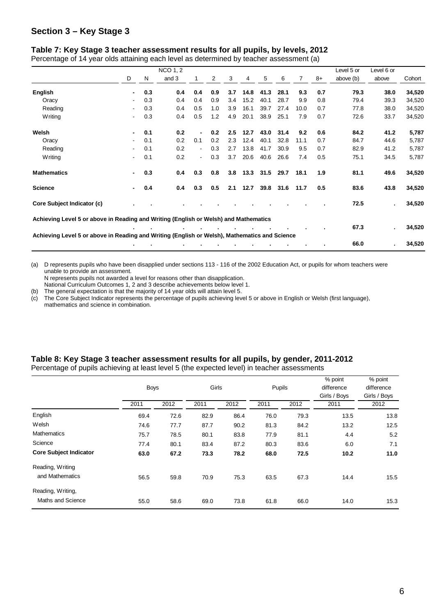## **Section 3 – Key Stage 3**

#### **Table 7: Key Stage 3 teacher assessment results for all pupils, by levels, 2012**

Percentage of 14 year olds attaining each level as determined by teacher assessment (a)

|                                                                                               |                          |     | <b>NCO 1, 2</b> |                |     |     |      |           |           |      |      | Level 5 or | Level 6 or |        |
|-----------------------------------------------------------------------------------------------|--------------------------|-----|-----------------|----------------|-----|-----|------|-----------|-----------|------|------|------------|------------|--------|
|                                                                                               | D                        | N   | and 3           |                | 2   | 3   | 4    | 5         | 6         | 7    | $8+$ | above (b)  | above      | Cohort |
| English                                                                                       | $\blacksquare$           | 0.3 | 0.4             | 0.4            | 0.9 | 3.7 | 14.8 | 41.3      | 28.1      | 9.3  | 0.7  | 79.3       | 38.0       | 34,520 |
| Oracy                                                                                         | $\blacksquare$           | 0.3 | 0.4             | 0.4            | 0.9 | 3.4 | 15.2 | 40.1      | 28.7      | 9.9  | 0.8  | 79.4       | 39.3       | 34,520 |
| Reading                                                                                       | $\blacksquare$           | 0.3 | 0.4             | 0.5            | 1.0 | 3.9 | 16.1 | 39.7      | 27.4      | 10.0 | 0.7  | 77.8       | 38.0       | 34,520 |
| Writing                                                                                       | $\blacksquare$           | 0.3 | 0.4             | 0.5            | 1.2 | 4.9 | 20.1 | 38.9      | 25.1      | 7.9  | 0.7  | 72.6       | 33.7       | 34,520 |
| Welsh                                                                                         | $\blacksquare$           | 0.1 | 0.2             | $\blacksquare$ | 0.2 | 2.5 | 12.7 | 43.0      | 31.4      | 9.2  | 0.6  | 84.2       | 41.2       | 5,787  |
| Oracy                                                                                         | $\blacksquare$           | 0.1 | 0.2             | 0.1            | 0.2 | 2.3 | 12.4 | 40.1      | 32.8      | 11.1 | 0.7  | 84.7       | 44.6       | 5,787  |
| Reading                                                                                       | $\blacksquare$           | 0.1 | 0.2             | $\blacksquare$ | 0.3 | 2.7 | 13.8 | 41.7      | 30.9      | 9.5  | 0.7  | 82.9       | 41.2       | 5,787  |
| <b>Writing</b>                                                                                | $\overline{\phantom{a}}$ | 0.1 | 0.2             | $\sim$         | 0.3 | 3.7 | 20.6 | 40.6      | 26.6      | 7.4  | 0.5  | 75.1       | 34.5       | 5,787  |
| <b>Mathematics</b>                                                                            | $\blacksquare$           | 0.3 | 0.4             | 0.3            | 0.8 | 3.8 |      | 13.3 31.5 | 29.7      | 18.1 | 1.9  | 81.1       | 49.6       | 34,520 |
| <b>Science</b>                                                                                | $\blacksquare$           | 0.4 | 0.4             | 0.3            | 0.5 | 2.1 | 12.7 |           | 39.8 31.6 | 11.7 | 0.5  | 83.6       | 43.8       | 34,520 |
| Core Subject Indicator (c)                                                                    |                          |     |                 |                |     |     |      |           |           |      |      | 72.5       |            | 34,520 |
| Achieving Level 5 or above in Reading and Writing (English or Welsh) and Mathematics          |                          |     |                 |                |     |     |      |           |           |      |      |            |            |        |
|                                                                                               |                          |     |                 |                |     |     |      |           |           |      |      | 67.3       |            | 34,520 |
| Achieving Level 5 or above in Reading and Writing (English or Welsh), Mathematics and Science |                          |     |                 |                |     |     |      |           |           |      |      |            |            |        |
|                                                                                               |                          |     |                 |                |     |     |      |           |           |      |      | 66.0       |            | 34,520 |

(a) D represents pupils who have been disapplied under sections 113 - 116 of the 2002 Education Act, or pupils for whom teachers were unable to provide an assessment.

N represents pupils not awarded a level for reasons other than disapplication.

National Curriculum Outcomes 1, 2 and 3 describe achievements below level 1.

(b) The general expectation is that the majority of 14 year olds will attain level 5.

(c) The Core Subject Indicator represents the percentage of pupils achieving level 5 or above in English or Welsh (first language), mathematics and science in combination.

| Percentage of pupils achieving at least level 5 (the expected level) in teacher assessments |             |       |        |            |           |
|---------------------------------------------------------------------------------------------|-------------|-------|--------|------------|-----------|
|                                                                                             |             |       |        | % point    | % point   |
|                                                                                             | <b>Bovs</b> | Girls | Pupils | difference | differenc |
|                                                                                             |             |       |        |            |           |

**Table 8: Key Stage 3 teacher assessment results for all pupils, by gender, 2011-2012** 

|                               | <b>Boys</b> |      | Girls |      | Pupils |      | % point<br>difference<br>Girls / Boys | % point<br>difference<br>Girls / Boys |
|-------------------------------|-------------|------|-------|------|--------|------|---------------------------------------|---------------------------------------|
|                               | 2011        | 2012 | 2011  | 2012 | 2011   | 2012 | 2011                                  | 2012                                  |
| English                       | 69.4        | 72.6 | 82.9  | 86.4 | 76.0   | 79.3 | 13.5                                  | 13.8                                  |
| Welsh                         | 74.6        | 77.7 | 87.7  | 90.2 | 81.3   | 84.2 | 13.2                                  | 12.5                                  |
| <b>Mathematics</b>            | 75.7        | 78.5 | 80.1  | 83.8 | 77.9   | 81.1 | 4.4                                   | 5.2                                   |
| Science                       | 77.4        | 80.1 | 83.4  | 87.2 | 80.3   | 83.6 | 6.0                                   | 7.1                                   |
| <b>Core Subject Indicator</b> | 63.0        | 67.2 | 73.3  | 78.2 | 68.0   | 72.5 | 10.2                                  | 11.0                                  |
| Reading, Writing              |             |      |       |      |        |      |                                       |                                       |
| and Mathematics               | 56.5        | 59.8 | 70.9  | 75.3 | 63.5   | 67.3 | 14.4                                  | 15.5                                  |
| Reading, Writing,             |             |      |       |      |        |      |                                       |                                       |
| Maths and Science             | 55.0        | 58.6 | 69.0  | 73.8 | 61.8   | 66.0 | 14.0                                  | 15.3                                  |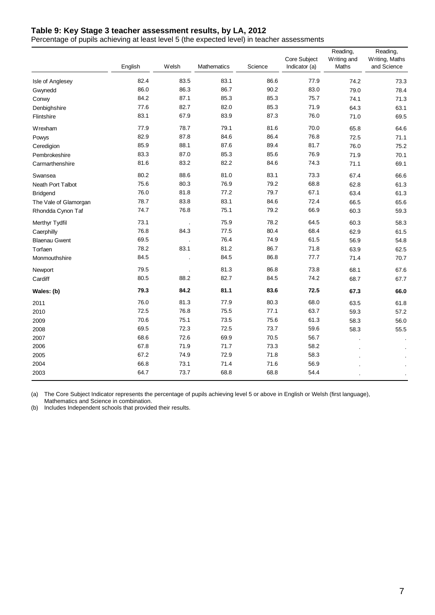# **Table 9: Key Stage 3 teacher assessment results, by LA, 2012**

Percentage of pupils achieving at least level 5 (the expected level) in teacher assessments

|                       | English | Welsh | Mathematics | Science | Core Subject<br>Indicator (a) | Reading,<br>Writing and<br>Maths | Reading,<br>Writing, Maths<br>and Science |
|-----------------------|---------|-------|-------------|---------|-------------------------------|----------------------------------|-------------------------------------------|
| Isle of Anglesey      | 82.4    | 83.5  | 83.1        | 86.6    | 77.9                          | 74.2                             | 73.3                                      |
| Gwynedd               | 86.0    | 86.3  | 86.7        | 90.2    | 83.0                          | 79.0                             | 78.4                                      |
| Conwy                 | 84.2    | 87.1  | 85.3        | 85.3    | 75.7                          | 74.1                             | 71.3                                      |
| Denbighshire          | 77.6    | 82.7  | 82.0        | 85.3    | 71.9                          | 64.3                             | 63.1                                      |
| Flintshire            | 83.1    | 67.9  | 83.9        | 87.3    | 76.0                          | 71.0                             | 69.5                                      |
| Wrexham               | 77.9    | 78.7  | 79.1        | 81.6    | 70.0                          | 65.8                             | 64.6                                      |
| Powys                 | 82.9    | 87.8  | 84.6        | 86.4    | 76.8                          | 72.5                             | 71.1                                      |
| Ceredigion            | 85.9    | 88.1  | 87.6        | 89.4    | 81.7                          | 76.0                             | 75.2                                      |
| Pembrokeshire         | 83.3    | 87.0  | 85.3        | 85.6    | 76.9                          | 71.9                             | 70.1                                      |
| Carmarthenshire       | 81.6    | 83.2  | 82.2        | 84.6    | 74.3                          | 71.1                             | 69.1                                      |
| Swansea               | 80.2    | 88.6  | 81.0        | 83.1    | 73.3                          | 67.4                             | 66.6                                      |
| Neath Port Talbot     | 75.6    | 80.3  | 76.9        | 79.2    | 68.8                          | 62.8                             | 61.3                                      |
| <b>Bridgend</b>       | 76.0    | 81.8  | 77.2        | 79.7    | 67.1                          | 63.4                             | 61.3                                      |
| The Vale of Glamorgan | 78.7    | 83.8  | 83.1        | 84.6    | 72.4                          | 66.5                             | 65.6                                      |
| Rhondda Cynon Taf     | 74.7    | 76.8  | 75.1        | 79.2    | 66.9                          | 60.3                             | 59.3                                      |
| Merthyr Tydfil        | 73.1    |       | 75.9        | 78.2    | 64.5                          | 60.3                             | 58.3                                      |
| Caerphilly            | 76.8    | 84.3  | 77.5        | 80.4    | 68.4                          | 62.9                             | 61.5                                      |
| <b>Blaenau Gwent</b>  | 69.5    |       | 76.4        | 74.9    | 61.5                          | 56.9                             | 54.8                                      |
| Torfaen               | 78.2    | 83.1  | 81.2        | 86.7    | 71.8                          | 63.9                             | 62.5                                      |
| Monmouthshire         | 84.5    |       | 84.5        | 86.8    | 77.7                          | 71.4                             | 70.7                                      |
| Newport               | 79.5    |       | 81.3        | 86.8    | 73.8                          | 68.1                             | 67.6                                      |
| Cardiff               | 80.5    | 88.2  | 82.7        | 84.5    | 74.2                          | 68.7                             | 67.7                                      |
| Wales: (b)            | 79.3    | 84.2  | 81.1        | 83.6    | 72.5                          | 67.3                             | 66.0                                      |
| 2011                  | 76.0    | 81.3  | 77.9        | 80.3    | 68.0                          | 63.5                             | 61.8                                      |
| 2010                  | 72.5    | 76.8  | 75.5        | 77.1    | 63.7                          | 59.3                             | 57.2                                      |
| 2009                  | 70.6    | 75.1  | 73.5        | 75.6    | 61.3                          | 58.3                             | 56.0                                      |
| 2008                  | 69.5    | 72.3  | 72.5        | 73.7    | 59.6                          | 58.3                             | 55.5                                      |
| 2007                  | 68.6    | 72.6  | 69.9        | 70.5    | 56.7                          |                                  |                                           |
| 2006                  | 67.8    | 71.9  | 71.7        | 73.3    | 58.2                          |                                  |                                           |
| 2005                  | 67.2    | 74.9  | 72.9        | 71.8    | 58.3                          |                                  |                                           |
| 2004                  | 66.8    | 73.1  | 71.4        | 71.6    | 56.9                          |                                  |                                           |
| 2003                  | 64.7    | 73.7  | 68.8        | 68.8    | 54.4                          |                                  |                                           |

(a) The Core Subject Indicator represents the percentage of pupils achieving level 5 or above in English or Welsh (first language),

Mathematics and Science in combination.

(b) Includes Independent schools that provided their results.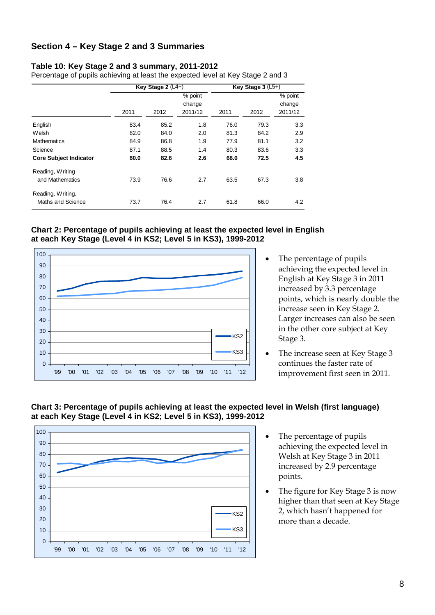## **Section 4 – Key Stage 2 and 3 Summaries**

#### **Table 10: Key Stage 2 and 3 summary, 2011-2012**

Percentage of pupils achieving at least the expected level at Key Stage 2 and 3

|                                        |      | Key Stage $2(L4+)$ |                              | Key Stage $3(L5+)$ |      |                              |  |
|----------------------------------------|------|--------------------|------------------------------|--------------------|------|------------------------------|--|
|                                        | 2011 | 2012               | % point<br>change<br>2011/12 | 2011               | 2012 | % point<br>change<br>2011/12 |  |
| English                                | 83.4 | 85.2               | 1.8                          | 76.0               | 79.3 | 3.3                          |  |
| Welsh                                  | 82.0 | 84.0               | 2.0                          | 81.3               | 84.2 | 2.9                          |  |
| <b>Mathematics</b>                     | 84.9 | 86.8               | 1.9                          | 77.9               | 81.1 | 3.2                          |  |
| Science                                | 87.1 | 88.5               | 1.4                          | 80.3               | 83.6 | 3.3                          |  |
| <b>Core Subject Indicator</b>          | 80.0 | 82.6               | 2.6                          | 68.0               | 72.5 | 4.5                          |  |
| Reading, Writing<br>and Mathematics    | 73.9 | 76.6               | 2.7                          | 63.5               | 67.3 | 3.8                          |  |
| Reading, Writing,<br>Maths and Science | 73.7 | 76.4               | 2.7                          | 61.8               | 66.0 | 4.2                          |  |





- The percentage of pupils achieving the expected level in English at Key Stage 3 in 2011 increased by 3.3 percentage points, which is nearly double the increase seen in Key Stage 2. Larger increases can also be seen in the other core subject at Key Stage 3.
- The increase seen at Key Stage 3 continues the faster rate of improvement first seen in 2011.





- The percentage of pupils achieving the expected level in Welsh at Key Stage 3 in 2011 increased by 2.9 percentage points.
- The figure for Key Stage 3 is now higher than that seen at Key Stage 2, which hasn't happened for more than a decade.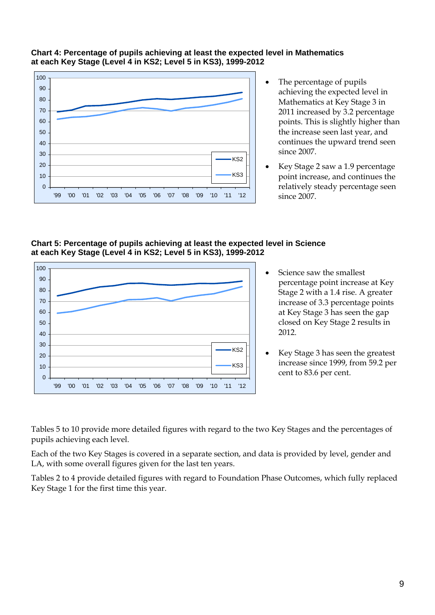

## **Chart 4: Percentage of pupils achieving at least the expected level in Mathematics at each Key Stage (Level 4 in KS2; Level 5 in KS3), 1999-2012**

- The percentage of pupils achieving the expected level in Mathematics at Key Stage 3 in 2011 increased by 3.2 percentage points. This is slightly higher than the increase seen last year, and continues the upward trend seen since 2007.
- Key Stage 2 saw a 1.9 percentage point increase, and continues the relatively steady percentage seen since 2007.

#### **Chart 5: Percentage of pupils achieving at least the expected level in Science at each Key Stage (Level 4 in KS2; Level 5 in KS3), 1999-2012**



- Science saw the smallest percentage point increase at Key Stage 2 with a 1.4 rise. A greater increase of 3.3 percentage points at Key Stage 3 has seen the gap closed on Key Stage 2 results in 2012.
- Key Stage 3 has seen the greatest increase since 1999, from 59.2 per cent to 83.6 per cent.

Tables 5 to 10 provide more detailed figures with regard to the two Key Stages and the percentages of pupils achieving each level.

Each of the two Key Stages is covered in a separate section, and data is provided by level, gender and LA, with some overall figures given for the last ten years.

Tables 2 to 4 provide detailed figures with regard to Foundation Phase Outcomes, which fully replaced Key Stage 1 for the first time this year.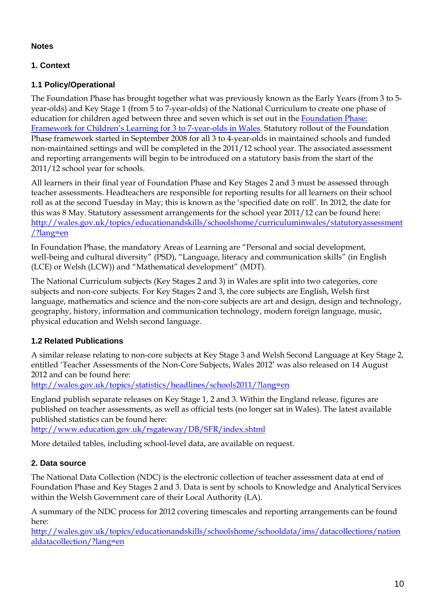## **Notes**

# **1. Context**

## **1.1 Policy/Operational**

The Foundation Phase has brought together what was previously known as the Early Years (from 3 to 5 year-olds) and Key Stage 1 (from 5 to 7-year-olds) of the National Curriculum to create one phase of education for children aged between three and seven which is set out in the [Foundation Phase:](http://wales.gov.uk/topics/educationandskills/earlyyearshome/foundation_phase/foundationphasepractitioners/frameworkchildlearning/?lang=en)  [Framework for Children's Learning for 3 to 7-year-olds in Wales.](http://wales.gov.uk/topics/educationandskills/earlyyearshome/foundation_phase/foundationphasepractitioners/frameworkchildlearning/?lang=en) Statutory rollout of the Foundation Phase framework started in September 2008 for all 3 to 4-year-olds in maintained schools and funded non-maintained settings and will be completed in the 2011/12 school year. The associated assessment and reporting arrangements will begin to be introduced on a statutory basis from the start of the 2011/12 school year for schools.

All learners in their final year of Foundation Phase and Key Stages 2 and 3 must be assessed through teacher assessments. Headteachers are responsible for reporting results for all learners on their school roll as at the second Tuesday in May; this is known as the 'specified date on roll'. In 2012, the date for this was 8 May. Statutory assessment arrangements for the school year 2011/12 can be found here: [http://wales.gov.uk/topics/educationandskills/schoolshome/curriculuminwales/statutoryassessment](http://wales.gov.uk/topics/educationandskills/schoolshome/curriculuminwales/statutoryassessment/?lang=en) [/?lang=en](http://wales.gov.uk/topics/educationandskills/schoolshome/curriculuminwales/statutoryassessment/?lang=en)

In Foundation Phase, the mandatory Areas of Learning are "Personal and social development, well-being and cultural diversity" (PSD), "Language, literacy and communication skills" (in English (LCE) or Welsh (LCW)) and "Mathematical development" (MDT).

The National Curriculum subjects (Key Stages 2 and 3) in Wales are split into two categories, core subjects and non-core subjects. For Key Stages 2 and 3, the core subjects are English, Welsh first language, mathematics and science and the non-core subjects are art and design, design and technology, geography, history, information and communication technology, modern foreign language, music, physical education and Welsh second language.

# **1.2 Related Publications**

A similar release relating to non-core subjects at Key Stage 3 and Welsh Second Language at Key Stage 2, entitled 'Teacher Assessments of the Non-Core Subjects, Wales 2012' was also released on 14 August 2012 and can be found here:

<http://wales.gov.uk/topics/statistics/headlines/schools2011/?lang=en>

England publish separate releases on Key Stage 1, 2 and 3. Within the England release, figures are published on teacher assessments, as well as official tests (no longer sat in Wales). The latest available published statistics can be found here:

<http://www.education.gov.uk/rsgateway/DB/SFR/index.shtml>

More detailed tables, including school-level data, are available on request.

## **2. Data source**

The National Data Collection (NDC) is the electronic collection of teacher assessment data at end of Foundation Phase and Key Stages 2 and 3. Data is sent by schools to Knowledge and Analytical Services within the Welsh Government care of their Local Authority (LA).

A summary of the NDC process for 2012 covering timescales and reporting arrangements can be found here:

[http://wales.gov.uk/topics/educationandskills/schoolshome/schooldata/ims/datacollections/nation](http://wales.gov.uk/topics/educationandskills/schoolshome/schooldata/ims/datacollections/nationaldatacollection/?lang=en) [aldatacollection/?lang=en](http://wales.gov.uk/topics/educationandskills/schoolshome/schooldata/ims/datacollections/nationaldatacollection/?lang=en)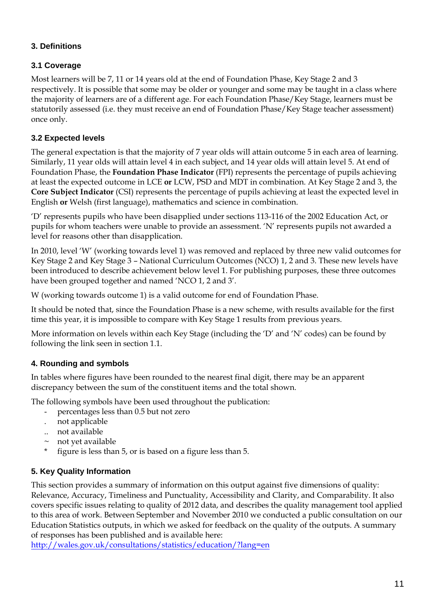# **3. Definitions**

# **3.1 Coverage**

Most learners will be 7, 11 or 14 years old at the end of Foundation Phase, Key Stage 2 and 3 respectively. It is possible that some may be older or younger and some may be taught in a class where the majority of learners are of a different age. For each Foundation Phase/Key Stage, learners must be statutorily assessed (i.e. they must receive an end of Foundation Phase/Key Stage teacher assessment) once only.

# **3.2 Expected levels**

The general expectation is that the majority of 7 year olds will attain outcome 5 in each area of learning. Similarly, 11 year olds will attain level 4 in each subject, and 14 year olds will attain level 5. At end of Foundation Phase, the **Foundation Phase Indicator** (FPI) represents the percentage of pupils achieving at least the expected outcome in LCE **or** LCW, PSD and MDT in combination. At Key Stage 2 and 3, the **Core Subject Indicator** (CSI) represents the percentage of pupils achieving at least the expected level in English **or** Welsh (first language), mathematics and science in combination.

'D' represents pupils who have been disapplied under sections 113-116 of the 2002 Education Act, or pupils for whom teachers were unable to provide an assessment. 'N' represents pupils not awarded a level for reasons other than disapplication.

In 2010, level 'W' (working towards level 1) was removed and replaced by three new valid outcomes for Key Stage 2 and Key Stage 3 – National Curriculum Outcomes (NCO) 1, 2 and 3. These new levels have been introduced to describe achievement below level 1. For publishing purposes, these three outcomes have been grouped together and named 'NCO 1, 2 and 3'.

W (working towards outcome 1) is a valid outcome for end of Foundation Phase.

It should be noted that, since the Foundation Phase is a new scheme, with results available for the first time this year, it is impossible to compare with Key Stage 1 results from previous years.

More information on levels within each Key Stage (including the 'D' and 'N' codes) can be found by following the link seen in section 1.1.

# **4. Rounding and symbols**

In tables where figures have been rounded to the nearest final digit, there may be an apparent discrepancy between the sum of the constituent items and the total shown.

The following symbols have been used throughout the publication:

- percentages less than 0.5 but not zero
- . not applicable
- .. not available
- $\sim$  not yet available
- figure is less than 5, or is based on a figure less than 5.

## **5. Key Quality Information**

This section provides a summary of information on this output against five dimensions of quality: Relevance, Accuracy, Timeliness and Punctuality, Accessibility and Clarity, and Comparability. It also covers specific issues relating to quality of 2012 data, and describes the quality management tool applied to this area of work. Between September and November 2010 we conducted a public consultation on our Education Statistics outputs, in which we asked for feedback on the quality of the outputs. A summary of responses has been published and is available here:

<http://wales.gov.uk/consultations/statistics/education/?lang=en>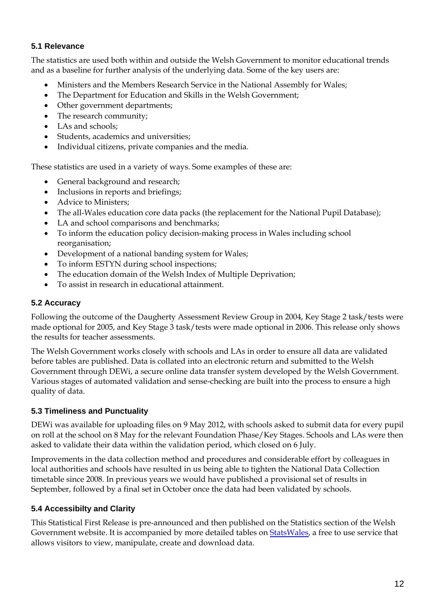## **5.1 Relevance**

The statistics are used both within and outside the Welsh Government to monitor educational trends and as a baseline for further analysis of the underlying data. Some of the key users are:

- Ministers and the Members Research Service in the National Assembly for Wales;
- The Department for Education and Skills in the Welsh Government;
- Other government departments;
- The research community;
- LAs and schools:
- Students, academics and universities;
- Individual citizens, private companies and the media.

These statistics are used in a variety of ways. Some examples of these are:

- General background and research;
- Inclusions in reports and briefings;
- Advice to Ministers;
- The all-Wales education core data packs (the replacement for the National Pupil Database);
- LA and school comparisons and benchmarks;
- To inform the education policy decision-making process in Wales including school reorganisation;
- Development of a national banding system for Wales;
- To inform ESTYN during school inspections;
- The education domain of the Welsh Index of Multiple Deprivation;
- To assist in research in educational attainment.

## **5.2 Accuracy**

Following the outcome of the Daugherty Assessment Review Group in 2004, Key Stage 2 task/tests were made optional for 2005, and Key Stage 3 task/tests were made optional in 2006. This release only shows the results for teacher assessments.

The Welsh Government works closely with schools and LAs in order to ensure all data are validated before tables are published. Data is collated into an electronic return and submitted to the Welsh Government through DEWi, a secure online data transfer system developed by the Welsh Government. Various stages of automated validation and sense-checking are built into the process to ensure a high quality of data.

### **5.3 Timeliness and Punctuality**

DEWi was available for uploading files on 9 May 2012, with schools asked to submit data for every pupil on roll at the school on 8 May for the relevant Foundation Phase/Key Stages. Schools and LAs were then asked to validate their data within the validation period, which closed on 6 July.

Improvements in the data collection method and procedures and considerable effort by colleagues in local authorities and schools have resulted in us being able to tighten the National Data Collection timetable since 2008. In previous years we would have published a provisional set of results in September, followed by a final set in October once the data had been validated by schools.

## **5.4 Accessibilty and Clarity**

This Statistical First Release is pre-announced and then published on the Statistics section of the Welsh Government website. It is accompanied by more detailed tables on [StatsWales,](http://wales.gov.uk/topics/statistics/statswales/?skip=1&lang=en) a free to use service that allows visitors to view, manipulate, create and download data.